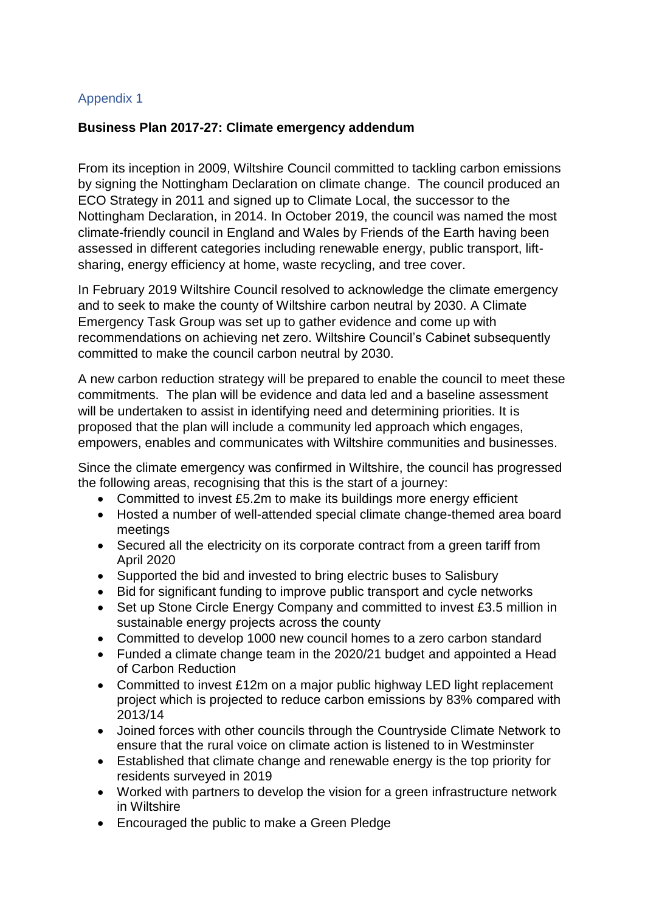## Appendix 1

## **Business Plan 2017-27: Climate emergency addendum**

From its inception in 2009, Wiltshire Council committed to tackling carbon emissions by signing the Nottingham Declaration on climate change. The council produced an ECO Strategy in 2011 and signed up to Climate Local, the successor to the Nottingham Declaration, in 2014. In October 2019, the council was named the most climate-friendly council in England and Wales by Friends of the Earth having been assessed in different categories including renewable energy, public transport, liftsharing, energy efficiency at home, waste recycling, and tree cover.

In February 2019 Wiltshire Council resolved to acknowledge the climate emergency and to seek to make the county of Wiltshire carbon neutral by 2030. A Climate Emergency Task Group was set up to gather evidence and come up with recommendations on achieving net zero. Wiltshire Council's Cabinet subsequently committed to make the council carbon neutral by 2030.

A new carbon reduction strategy will be prepared to enable the council to meet these commitments. The plan will be evidence and data led and a baseline assessment will be undertaken to assist in identifying need and determining priorities. It is proposed that the plan will include a community led approach which engages, empowers, enables and communicates with Wiltshire communities and businesses.

Since the climate emergency was confirmed in Wiltshire, the council has progressed the following areas, recognising that this is the start of a journey:

- Committed to invest £5.2m to make its buildings more energy efficient
- Hosted a number of well-attended special climate change-themed area board meetings
- Secured all the electricity on its corporate contract from a green tariff from April 2020
- Supported the bid and invested to bring electric buses to Salisbury
- Bid for significant funding to improve public transport and cycle networks
- Set up Stone Circle Energy Company and committed to invest £3.5 million in sustainable energy projects across the county
- Committed to develop 1000 new council homes to a zero carbon standard
- Funded a climate change team in the 2020/21 budget and appointed a Head of Carbon Reduction
- Committed to invest £12m on a major public highway LED light replacement project which is projected to reduce carbon emissions by 83% compared with 2013/14
- Joined forces with other councils through the Countryside Climate Network to ensure that the rural voice on climate action is listened to in Westminster
- Established that climate change and renewable energy is the top priority for residents surveyed in 2019
- Worked with partners to develop the vision for a green infrastructure network in Wiltshire
- Encouraged the public to make a Green Pledge